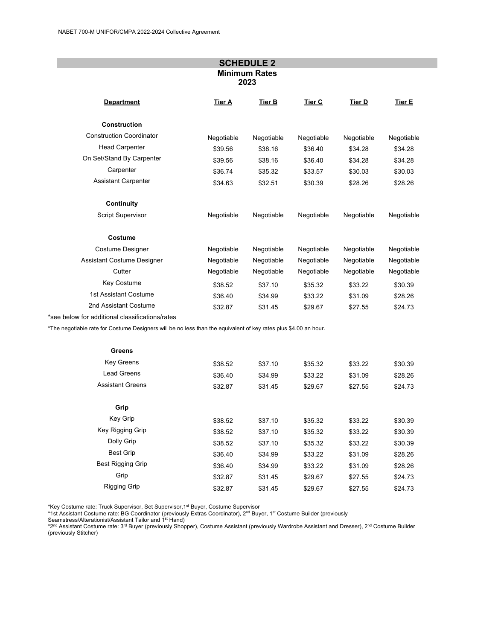|                                                                                                                  |            | <b>SCHEDULE 2</b> |               |            |            |  |
|------------------------------------------------------------------------------------------------------------------|------------|-------------------|---------------|------------|------------|--|
| <b>Minimum Rates</b><br>2023                                                                                     |            |                   |               |            |            |  |
| <b>Department</b>                                                                                                | Tier A     | <b>Tier B</b>     | <b>Tier C</b> | Tier D     | Tier E     |  |
| <b>Construction</b>                                                                                              |            |                   |               |            |            |  |
| <b>Construction Coordinator</b>                                                                                  | Negotiable | Negotiable        | Negotiable    | Negotiable | Negotiable |  |
| <b>Head Carpenter</b>                                                                                            | \$39.56    | \$38.16           | \$36.40       | \$34.28    | \$34.28    |  |
| On Set/Stand By Carpenter                                                                                        | \$39.56    | \$38.16           | \$36.40       | \$34.28    | \$34.28    |  |
| Carpenter                                                                                                        | \$36.74    | \$35.32           | \$33.57       | \$30.03    | \$30.03    |  |
| <b>Assistant Carpenter</b>                                                                                       | \$34.63    | \$32.51           | \$30.39       | \$28.26    | \$28.26    |  |
| Continuity                                                                                                       |            |                   |               |            |            |  |
| Script Supervisor                                                                                                | Negotiable | Negotiable        | Negotiable    | Negotiable | Negotiable |  |
| Costume                                                                                                          |            |                   |               |            |            |  |
| <b>Costume Designer</b>                                                                                          | Negotiable | Negotiable        | Negotiable    | Negotiable | Negotiable |  |
| <b>Assistant Costume Designer</b>                                                                                | Negotiable | Negotiable        | Negotiable    | Negotiable | Negotiable |  |
| Cutter                                                                                                           | Negotiable | Negotiable        | Negotiable    | Negotiable | Negotiable |  |
| Key Costume                                                                                                      | \$38.52    | \$37.10           | \$35.32       | \$33.22    | \$30.39    |  |
| 1st Assistant Costume                                                                                            | \$36.40    | \$34.99           | \$33.22       | \$31.09    | \$28.26    |  |
| 2nd Assistant Costume                                                                                            | \$32.87    | \$31.45           | \$29.67       | \$27.55    | \$24.73    |  |
| *see below for additional classifications/rates                                                                  |            |                   |               |            |            |  |
| *The negotiable rate for Costume Designers will be no less than the equivalent of key rates plus \$4.00 an hour. |            |                   |               |            |            |  |

| <b>Greens</b>            |         |         |         |         |         |
|--------------------------|---------|---------|---------|---------|---------|
| <b>Key Greens</b>        | \$38.52 | \$37.10 | \$35.32 | \$33.22 | \$30.39 |
| Lead Greens              | \$36.40 | \$34.99 | \$33.22 | \$31.09 | \$28.26 |
| <b>Assistant Greens</b>  | \$32.87 | \$31.45 | \$29.67 | \$27.55 | \$24.73 |
| Grip                     |         |         |         |         |         |
| Key Grip                 | \$38.52 | \$37.10 | \$35.32 | \$33.22 | \$30.39 |
| Key Rigging Grip         | \$38.52 | \$37.10 | \$35.32 | \$33.22 | \$30.39 |
| Dolly Grip               | \$38.52 | \$37.10 | \$35.32 | \$33.22 | \$30.39 |
| <b>Best Grip</b>         | \$36.40 | \$34.99 | \$33.22 | \$31.09 | \$28.26 |
| <b>Best Rigging Grip</b> | \$36.40 | \$34.99 | \$33.22 | \$31.09 | \$28.26 |
| Grip                     | \$32.87 | \$31.45 | \$29.67 | \$27.55 | \$24.73 |
| <b>Rigging Grip</b>      | \$32.87 | \$31.45 | \$29.67 | \$27.55 | \$24.73 |

\*Key Costume rate: Truck Supervisor, Set Supervisor,1st Buyer, Costume Supervisor

\*1st Assistant Costume rate: BG Coordinator (previously Extras Coordinator), 2<u>nd Buyer, 1st Costume Builder (</u>previously<br>Seamstress/Alterationist/Assistant Tailor and 1st Hand)

\*2<sup>nd</sup> Assistant Costume rate: 3<sup>rd</sup> Buyer (previously Shopper), Costume Assistant (previously Wardrobe Assistant and Dresser), 2<sup>nd</sup> Costume Builder (previously Stitcher)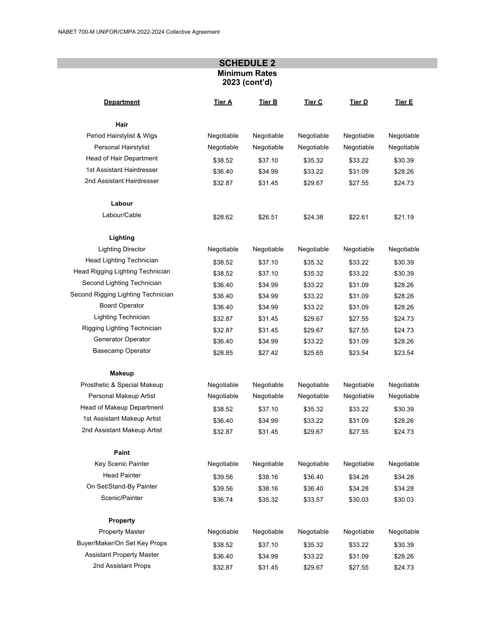## **SCHEDULE 2 Minimum Rates 2023 (cont'd)**

| <b>Department</b>                  | Tier A     | Tier B     | Tier C     | Tier D     | Tier E     |
|------------------------------------|------------|------------|------------|------------|------------|
| Hair                               |            |            |            |            |            |
| Period Hairstylist & Wigs          | Negotiable | Negotiable | Negotiable | Negotiable | Negotiable |
| Personal Hairstylist               | Negotiable | Negotiable | Negotiable | Negotiable | Negotiable |
| Head of Hair Department            | \$38.52    | \$37.10    | \$35.32    | \$33.22    | \$30.39    |
| 1st Assistant Hairdresser          | \$36.40    | \$34.99    | \$33.22    | \$31.09    | \$28.26    |
| 2nd Assistant Hairdresser          | \$32.87    | \$31.45    | \$29.67    | \$27.55    | \$24.73    |
| Labour                             |            |            |            |            |            |
| Labour/Cable                       | \$28.62    | \$26.51    | \$24.38    | \$22.61    | \$21.19    |
| Lighting                           |            |            |            |            |            |
| <b>Lighting Director</b>           | Negotiable | Negotiable | Negotiable | Negotiable | Negotiable |
| Head Lighting Technician           | \$38.52    | \$37.10    | \$35.32    | \$33.22    | \$30.39    |
| Head Rigging Lighting Technician   | \$38.52    | \$37.10    | \$35.32    | \$33.22    | \$30.39    |
| Second Lighting Technician         | \$36.40    | \$34.99    | \$33.22    | \$31.09    | \$28.26    |
| Second Rigging Lighting Technician | \$36.40    | \$34.99    | \$33.22    | \$31.09    | \$28.26    |
| <b>Board Operator</b>              | \$36.40    | \$34.99    | \$33.22    | \$31.09    | \$28.26    |
| Lighting Technician                | \$32.87    | \$31.45    | \$29.67    | \$27.55    | \$24.73    |
| Rigging Lighting Technician        | \$32.87    | \$31.45    | \$29.67    | \$27.55    | \$24.73    |
| Generator Operator                 | \$36.40    | \$34.99    | \$33.22    | \$31.09    | \$28.26    |
| <b>Basecamp Operator</b>           | \$28.85    | \$27.42    | \$25.65    | \$23.54    | \$23.54    |
| Makeup                             |            |            |            |            |            |
| Prosthetic & Special Makeup        | Negotiable | Negotiable | Negotiable | Negotiable | Negotiable |
| Personal Makeup Artist             | Negotiable | Negotiable | Negotiable | Negotiable | Negotiable |
| Head of Makeup Department          | \$38.52    | \$37.10    | \$35.32    | \$33.22    | \$30.39    |
| 1st Assistant Makeup Artist        | \$36.40    | \$34.99    | \$33.22    | \$31.09    | \$28.26    |
| 2nd Assistant Makeup Artist        | \$32.87    | \$31.45    | \$29.67    | \$27.55    | \$24.73    |
| Paint                              |            |            |            |            |            |
| Key Scenic Painter                 | Negotiable | Negotiable | Negotiable | Negotiable | Negotiable |
| <b>Head Painter</b>                | \$39.56    | \$38.16    | \$36.40    | \$34.28    | \$34.28    |
| On Set/Stand-By Painter            | \$39.56    | \$38.16    | \$36.40    | \$34.28    | \$34.28    |
| Scenic/Painter                     | \$36.74    | \$35.32    | \$33.57    | \$30.03    | \$30.03    |
| <b>Property</b>                    |            |            |            |            |            |
| <b>Property Master</b>             | Negotiable | Negotiable | Negotiable | Negotiable | Negotiable |
| Buyer/Maker/On Set Key Props       | \$38.52    | \$37.10    | \$35.32    | \$33.22    | \$30.39    |
| <b>Assistant Property Master</b>   | \$36.40    | \$34.99    | \$33.22    | \$31.09    | \$28.26    |
| 2nd Assistant Props                | \$32.87    | \$31.45    | \$29.67    | \$27.55    | \$24.73    |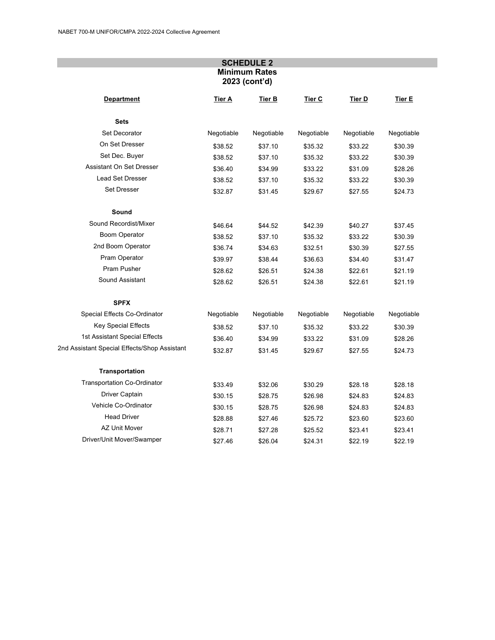## **SCHEDULE 2 Minimum Rates 2023 (cont'd)**

| <b>Department</b>                            | Tier A     | Tier B     | Tier C     | Tier D     | Tier E     |
|----------------------------------------------|------------|------------|------------|------------|------------|
| <b>Sets</b>                                  |            |            |            |            |            |
| Set Decorator                                | Negotiable | Negotiable | Negotiable | Negotiable | Negotiable |
| On Set Dresser                               | \$38.52    | \$37.10    | \$35.32    | \$33.22    | \$30.39    |
| Set Dec. Buyer                               | \$38.52    | \$37.10    | \$35.32    | \$33.22    | \$30.39    |
| Assistant On Set Dresser                     | \$36.40    | \$34.99    | \$33.22    | \$31.09    | \$28.26    |
| <b>Lead Set Dresser</b>                      | \$38.52    | \$37.10    | \$35.32    | \$33.22    | \$30.39    |
| Set Dresser                                  | \$32.87    | \$31.45    | \$29.67    | \$27.55    | \$24.73    |
| Sound                                        |            |            |            |            |            |
| Sound Recordist/Mixer                        | \$46.64    | \$44.52    | \$42.39    | \$40.27    | \$37.45    |
| <b>Boom Operator</b>                         | \$38.52    | \$37.10    | \$35.32    | \$33.22    | \$30.39    |
| 2nd Boom Operator                            | \$36.74    | \$34.63    | \$32.51    | \$30.39    | \$27.55    |
| Pram Operator                                | \$39.97    | \$38.44    | \$36.63    | \$34.40    | \$31.47    |
| Pram Pusher                                  | \$28.62    | \$26.51    | \$24.38    | \$22.61    | \$21.19    |
| Sound Assistant                              | \$28.62    | \$26.51    | \$24.38    | \$22.61    | \$21.19    |
| <b>SPFX</b>                                  |            |            |            |            |            |
| Special Effects Co-Ordinator                 | Negotiable | Negotiable | Negotiable | Negotiable | Negotiable |
| Key Special Effects                          | \$38.52    | \$37.10    | \$35.32    | \$33.22    | \$30.39    |
| 1st Assistant Special Effects                | \$36.40    | \$34.99    | \$33.22    | \$31.09    | \$28.26    |
| 2nd Assistant Special Effects/Shop Assistant | \$32.87    | \$31.45    | \$29.67    | \$27.55    | \$24.73    |
| <b>Transportation</b>                        |            |            |            |            |            |
| <b>Transportation Co-Ordinator</b>           | \$33.49    | \$32.06    | \$30.29    | \$28.18    | \$28.18    |
| Driver Captain                               | \$30.15    | \$28.75    | \$26.98    | \$24.83    | \$24.83    |
| Vehicle Co-Ordinator                         | \$30.15    | \$28.75    | \$26.98    | \$24.83    | \$24.83    |
| <b>Head Driver</b>                           | \$28.88    | \$27.46    | \$25.72    | \$23.60    | \$23.60    |
| <b>AZ Unit Mover</b>                         | \$28.71    | \$27.28    | \$25.52    | \$23.41    | \$23.41    |
| Driver/Unit Mover/Swamper                    | \$27.46    | \$26.04    | \$24.31    | \$22.19    | \$22.19    |